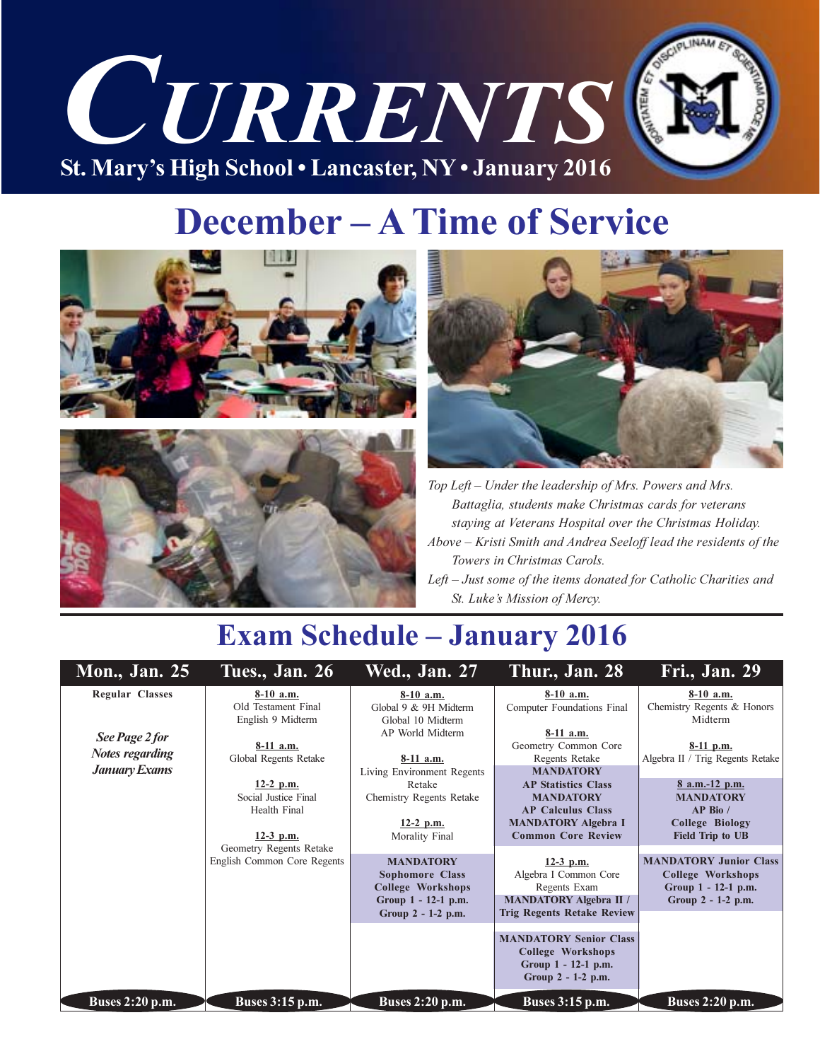

# **December - A Time of Service**





Top Left - Under the leadership of Mrs. Powers and Mrs. Battaglia, students make Christmas cards for veterans staying at Veterans Hospital over the Christmas Holiday. Above - Kristi Smith and Andrea Seeloff lead the residents of the Towers in Christmas Carols. Left – Just some of the items donated for Catholic Charities and

St. Luke's Mission of Mercy.

### **Exam Schedule - January 2016**

| <b>Mon., Jan. 25</b>                                             | Tues., Jan. 26                                                     | <b>Wed., Jan. 27</b>                                                                   | Thur., Jan. 28                                                                                                                                  | Fri., Jan. 29                                                                                           |
|------------------------------------------------------------------|--------------------------------------------------------------------|----------------------------------------------------------------------------------------|-------------------------------------------------------------------------------------------------------------------------------------------------|---------------------------------------------------------------------------------------------------------|
| <b>Regular Classes</b>                                           | $8-10$ a.m.<br>Old Testament Final<br>English 9 Midterm            | 8-10 a.m.<br>Global 9 & 9H Midterm<br>Global 10 Midterm                                | $8-10$ a.m.<br>Computer Foundations Final                                                                                                       | $8-10$ a.m.<br>Chemistry Regents & Honors<br>Midterm                                                    |
| See Page 2 for<br><b>Notes regarding</b><br><b>January Exams</b> | 8-11 a.m.<br>Global Regents Retake                                 | AP World Midterm<br>8-11 a.m.<br>Living Environment Regents                            | $8-11$ a.m.<br>Geometry Common Core<br>Regents Retake<br><b>MANDATORY</b>                                                                       | $8-11$ p.m.<br>Algebra II / Trig Regents Retake                                                         |
|                                                                  | $12-2$ p.m.<br>Social Justice Final<br>Health Final<br>$12-3$ p.m. | Retake<br>Chemistry Regents Retake<br>$12-2$ p.m.<br>Morality Final                    | <b>AP Statistics Class</b><br><b>MANDATORY</b><br><b>AP Calculus Class</b><br><b>MANDATORY Algebra I</b><br><b>Common Core Review</b>           | $8$ a.m.-12 p.m.<br><b>MANDATORY</b><br>$AP$ Bio /<br><b>College Biology</b><br><b>Field Trip to UB</b> |
|                                                                  | Geometry Regents Retake<br>English Common Core Regents             | <b>MANDATORY</b><br><b>Sophomore Class</b><br>College Workshops<br>Group 1 - 12-1 p.m. | $12-3$ p.m.<br>Algebra I Common Core<br>Regents Exam<br><b>MANDATORY Algebra II /</b>                                                           | <b>MANDATORY Junior Class</b><br><b>College Workshops</b><br>Group 1 - 12-1 p.m.<br>Group 2 - 1-2 p.m.  |
|                                                                  |                                                                    | Group 2 - 1-2 p.m.                                                                     | <b>Trig Regents Retake Review</b><br><b>MANDATORY Senior Class</b><br><b>College Workshops</b><br>Group 1 - 12-1 p.m.<br>Group $2 - 1 - 2$ p.m. |                                                                                                         |
| <b>Buses 2:20 p.m.</b>                                           | <b>Buses 3:15 p.m.</b>                                             | <b>Buses 2:20 p.m.</b>                                                                 | <b>Buses 3:15 p.m.</b>                                                                                                                          | Buses 2:20 p.m.                                                                                         |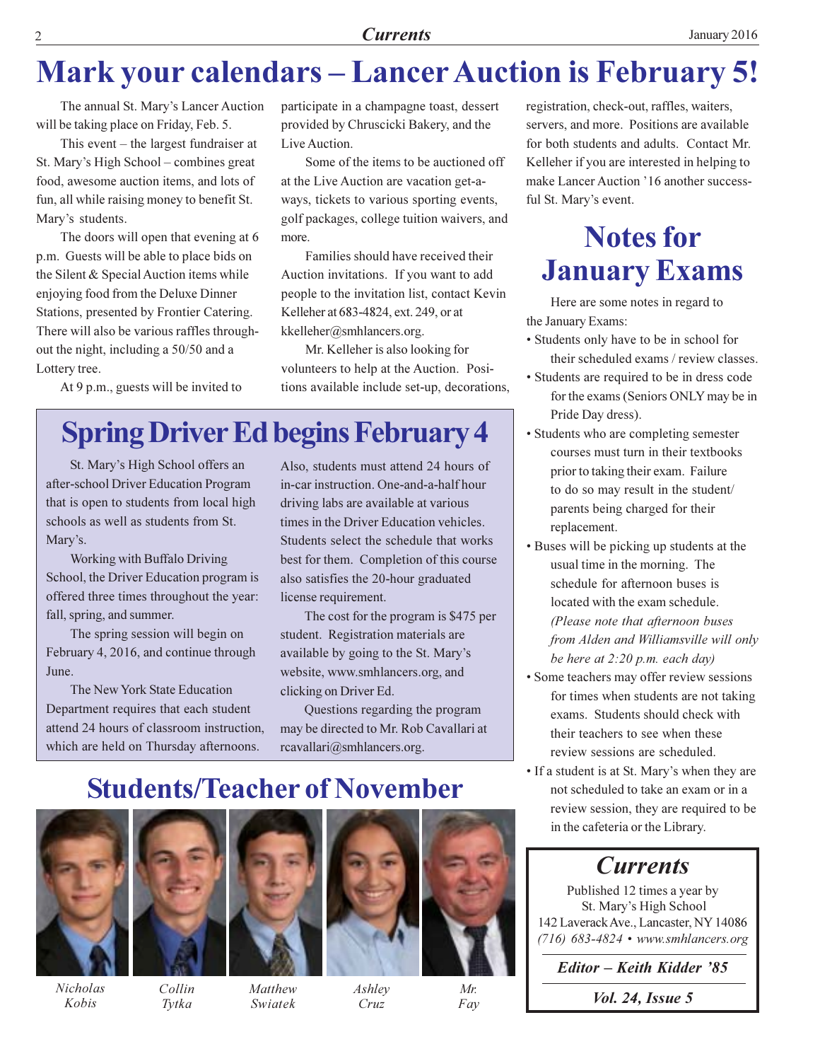### **Mark your calendars - Lancer Auction is February 5!**

The annual St. Mary's Lancer Auction will be taking place on Friday, Feb. 5.

This event  $-$  the largest fundraiser at St. Mary's High School - combines great food, awesome auction items, and lots of fun, all while raising money to benefit St. Mary's students.

The doors will open that evening at 6 p.m. Guests will be able to place bids on the Silent & Special Auction items while enjoying food from the Deluxe Dinner Stations, presented by Frontier Catering. There will also be various raffles throughout the night, including a 50/50 and a Lottery tree.

At 9 p.m., guests will be invited to

participate in a champagne toast, dessert provided by Chruscicki Bakery, and the Live Auction.

Some of the items to be auctioned off at the Live Auction are vacation get-aways, tickets to various sporting events, golf packages, college tuition waivers, and more.

Families should have received their Auction invitations. If you want to add people to the invitation list, contact Kevin Kelleher at 683-4824, ext. 249, or at kkelleher@smhlancers.org.

Mr. Kelleher is also looking for volunteers to help at the Auction. Positions available include set-up, decorations,

### **Spring Driver Ed begins February 4**

St. Mary's High School offers an after-school Driver Education Program that is open to students from local high schools as well as students from St. Mary's.

Working with Buffalo Driving School, the Driver Education program is offered three times throughout the year: fall, spring, and summer.

The spring session will begin on February 4, 2016, and continue through June.

The New York State Education Department requires that each student attend 24 hours of classroom instruction, which are held on Thursday afternoons.

Also, students must attend 24 hours of in-car instruction. One-and-a-half hour driving labs are available at various times in the Driver Education vehicles. Students select the schedule that works best for them. Completion of this course also satisfies the 20-hour graduated license requirement.

The cost for the program is \$475 per student. Registration materials are available by going to the St. Mary's website, www.smhlancers.org, and clicking on Driver Ed.

Questions regarding the program may be directed to Mr. Rob Cavallari at rcavallari@smhlancers.org.

**Students/Teacher of November** 



**Nicholas** Kobis



Tytka

Matthew Swiatek



Ashley Cruz



registration, check-out, raffles, waiters, servers, and more. Positions are available for both students and adults. Contact Mr. Kelleher if you are interested in helping to make Lancer Auction '16 another successful St. Mary's event.

### **Notes for January Exams**

Here are some notes in regard to the January Exams:

- Students only have to be in school for their scheduled exams / review classes.
- Students are required to be in dress code for the exams (Seniors ONLY may be in Pride Day dress).
- Students who are completing semester courses must turn in their textbooks prior to taking their exam. Failure to do so may result in the student/ parents being charged for their replacement.
- Buses will be picking up students at the usual time in the morning. The schedule for afternoon buses is located with the exam schedule. (Please note that afternoon buses from Alden and Williamsville will only be here at  $2:20$  p.m. each day)
- Some teachers may offer review sessions for times when students are not taking exams. Students should check with their teachers to see when these review sessions are scheduled.
- If a student is at St. Mary's when they are not scheduled to take an exam or in a review session, they are required to be in the cafeteria or the Library.

### **Currents**

Published 12 times a year by St. Mary's High School 142 Laverack Ave., Lancaster, NY 14086  $(716)$  683-4824 • www.smhlancers.org

Editor - Keith Kidder '85

*Vol. 24, Issue 5*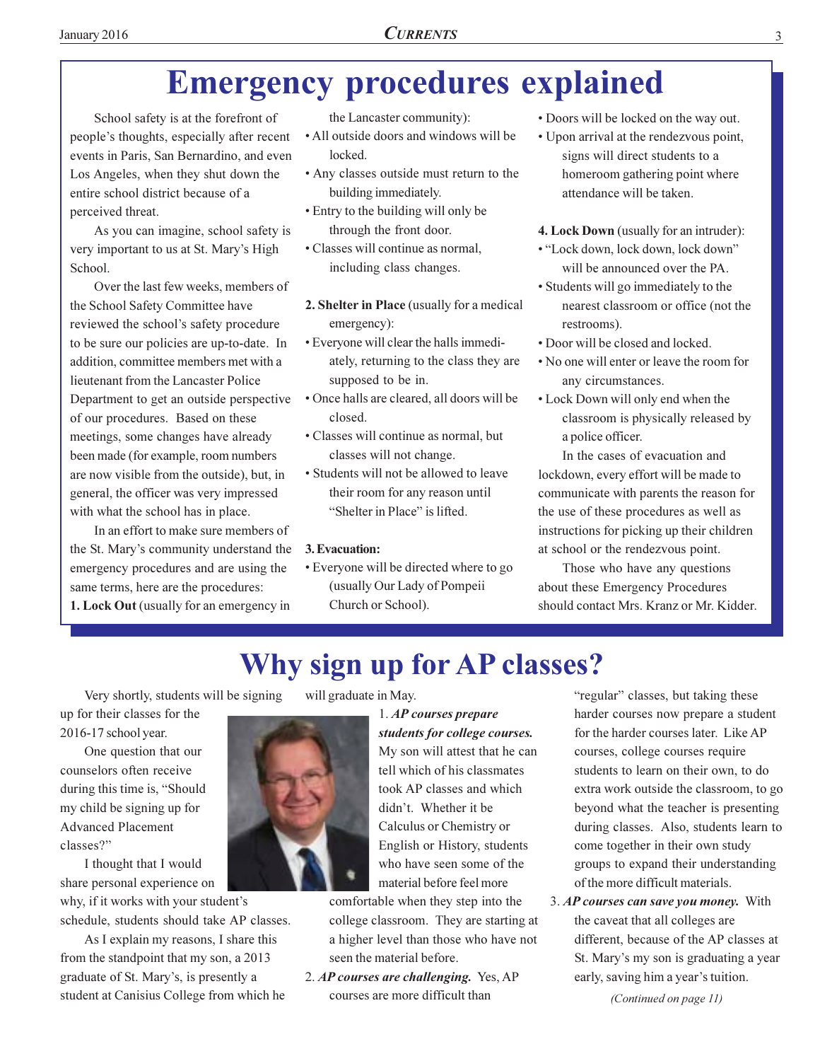### **Emergency procedures explained**

School safety is at the forefront of people's thoughts, especially after recent events in Paris, San Bernardino, and even Los Angeles, when they shut down the entire school district because of a perceived threat.

As you can imagine, school safety is very important to us at St. Mary's High School.

Over the last few weeks, members of the School Safety Committee have reviewed the school's safety procedure to be sure our policies are up-to-date. In addition, committee members met with a lieutenant from the Lancaster Police Department to get an outside perspective of our procedures. Based on these meetings, some changes have already been made (for example, room numbers are now visible from the outside), but, in general, the officer was very impressed with what the school has in place.

In an effort to make sure members of the St. Mary's community understand the emergency procedures and are using the same terms, here are the procedures: 1. Lock Out (usually for an emergency in

the Lancaster community):

- All outside doors and windows will be locked.
- Any classes outside must return to the building immediately.
- Entry to the building will only be through the front door.
- Classes will continue as normal, including class changes.
- 2. Shelter in Place (usually for a medical emergency):
- Everyone will clear the halls immediately, returning to the class they are supposed to be in.
- Once halls are cleared, all doors will be closed.
- Classes will continue as normal, but classes will not change.
- Students will not be allowed to leave their room for any reason until "Shelter in Place" is lifted.

#### 3. Evacuation:

• Everyone will be directed where to go (usually Our Lady of Pompeii Church or School).

- Doors will be locked on the way out.
- Upon arrival at the rendezvous point, signs will direct students to a homeroom gathering point where attendance will be taken.

4. Lock Down (usually for an intruder):

- "Lock down, lock down, lock down" will be announced over the PA.
- · Students will go immediately to the nearest classroom or office (not the restrooms).
- Door will be closed and locked.
- No one will enter or leave the room for any circumstances.
- Lock Down will only end when the classroom is physically released by a police officer.

In the cases of evacuation and lockdown, every effort will be made to communicate with parents the reason for the use of these procedures as well as instructions for picking up their children at school or the rendezvous point.

Those who have any questions about these Emergency Procedures should contact Mrs. Kranz or Mr. Kidder.

### Why sign up for AP classes?

Very shortly, students will be signing

up for their classes for the 2016-17 school year.

One question that our counselors often receive during this time is, "Should my child be signing up for **Advanced Placement** classes?"

I thought that I would share personal experience on

why, if it works with your student's schedule, students should take AP classes.

As I explain my reasons, I share this from the standpoint that my son, a 2013 graduate of St. Mary's, is presently a student at Canisius College from which he will graduate in May.

1. AP courses prepare students for college courses. My son will attest that he can tell which of his classmates took AP classes and which didn't. Whether it be Calculus or Chemistry or English or History, students who have seen some of the material before feel more

comfortable when they step into the college classroom. They are starting at a higher level than those who have not seen the material before.

2. AP courses are challenging. Yes. AP courses are more difficult than

"regular" classes, but taking these harder courses now prepare a student for the harder courses later. Like AP courses, college courses require students to learn on their own, to do extra work outside the classroom, to go beyond what the teacher is presenting during classes. Also, students learn to come together in their own study groups to expand their understanding of the more difficult materials.

3. AP courses can save you money. With the caveat that all colleges are different, because of the AP classes at St. Mary's my son is graduating a year early, saving him a year's tuition.

(Continued on page 11)

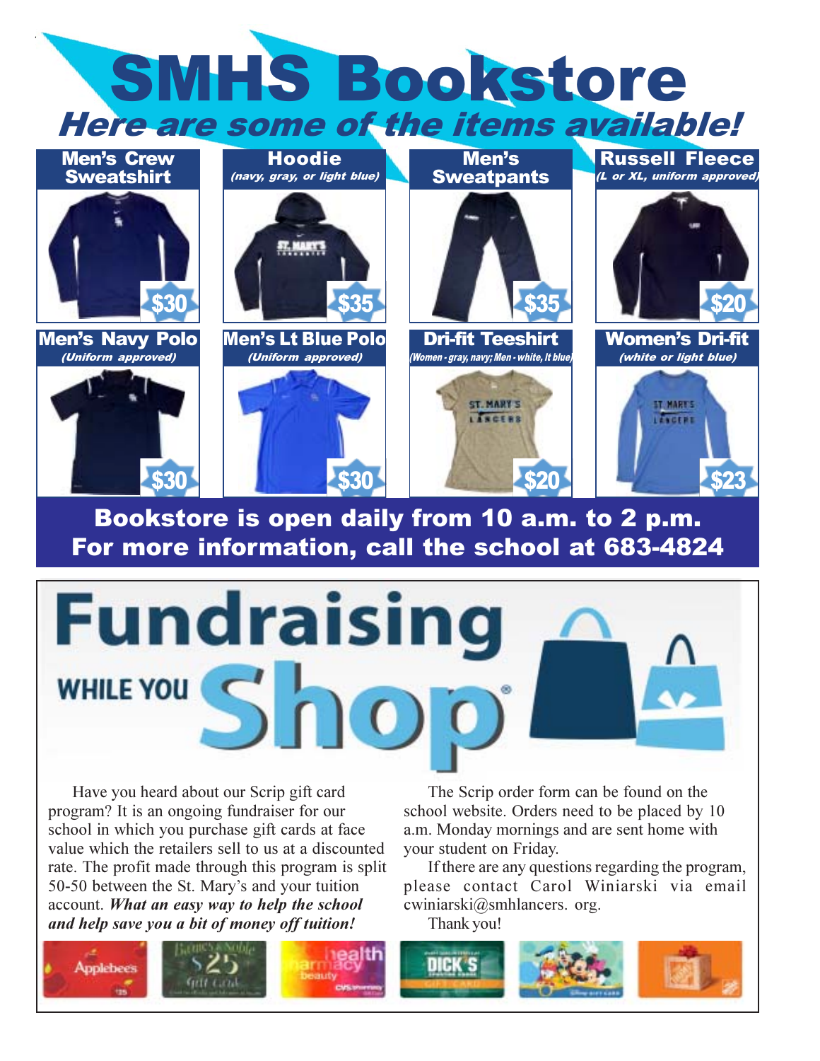

Bookstore is open daily from 10 a.m. to 2 p.m. For more information, call the school at 683-4824

\$30



Have you heard about our Scrip gift card program? It is an ongoing fundraiser for our school in which you purchase gift cards at face value which the retailers sell to us at a discounted rate. The profit made through this program is split 50-50 between the St. Mary's and your tuition account. What an easy way to help the school and help save you a bit of money off tuition!

\$30

The Scrip order form can be found on the school website. Orders need to be placed by 10 a.m. Monday mornings and are sent home with your student on Friday.

520

\$23

If there are any questions regarding the program, please contact Carol Winiarski via email cwiniarski@smhlancers. org.

Thank you!

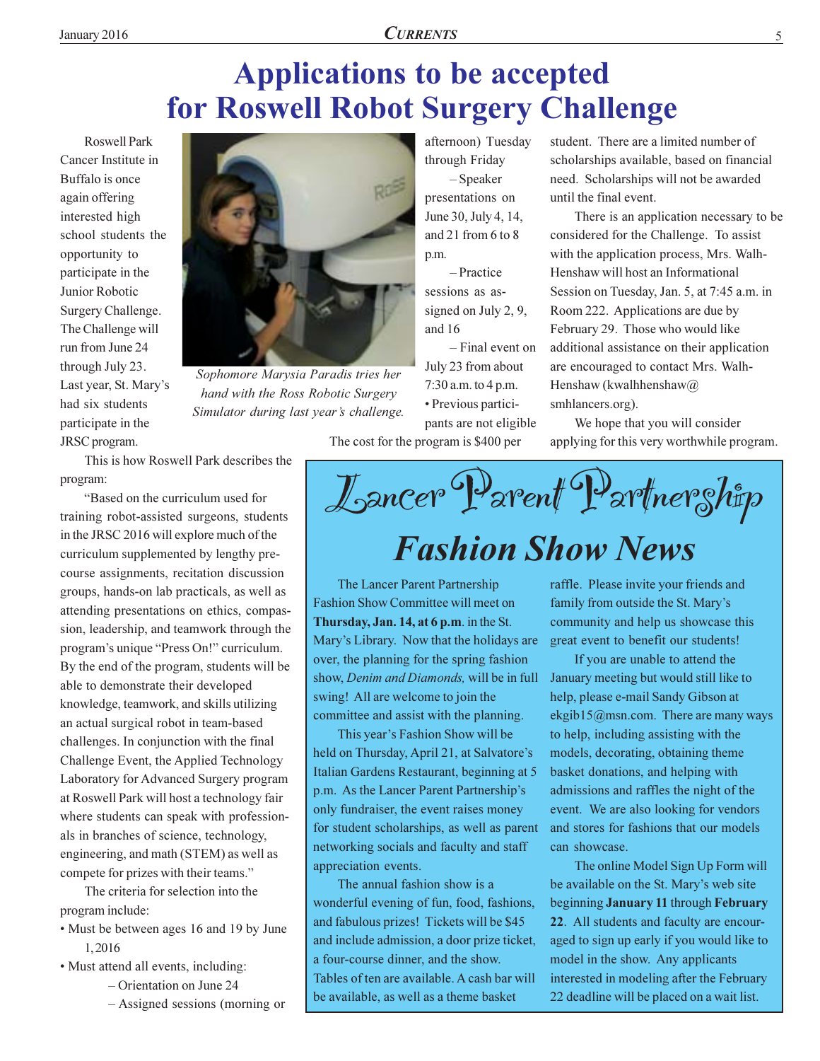# **Applications to be accepted** for Roswell Robot Surgery Challenge

**Roswell Park** Cancer Institute in Buffalo is once again offering interested high school students the opportunity to participate in the Junior Robotic Surgery Challenge. The Challenge will run from June 24 through July 23. Last year, St. Mary's had six students participate in the JRSC program.



Sophomore Marysia Paradis tries her hand with the Ross Robotic Surgery Simulator during last year's challenge.

afternoon) Tuesdav through Friday

 $-$ Speaker presentations on June 30, July 4, 14, and 21 from 6 to 8 p.m.

- Practice sessions as assigned on July 2, 9, and 16

- Final event on July 23 from about  $7:30$  a.m. to 4 p.m. · Previous participants are not eligible

The cost for the program is \$400 per

student. There are a limited number of scholarships available, based on financial need. Scholarships will not be awarded until the final event.

There is an application necessary to be considered for the Challenge. To assist with the application process, Mrs. Walh-Henshaw will host an Informational Session on Tuesday, Jan. 5, at 7:45 a.m. in Room 222. Applications are due by February 29. Those who would like additional assistance on their application are encouraged to contact Mrs. Walh-Henshaw (kwalhhenshaw $\omega$ ) smhlancers.org).

We hope that you will consider applying for this very worthwhile program.

Lancer Parent Partner ship

# **Fashion Show News**

The Lancer Parent Partnership Fashion Show Committee will meet on Thursday, Jan. 14, at 6 p.m. in the St. Mary's Library. Now that the holidays are over, the planning for the spring fashion show, Denim and Diamonds, will be in full swing! All are welcome to join the committee and assist with the planning.

This year's Fashion Show will be held on Thursday, April 21, at Salvatore's Italian Gardens Restaurant, beginning at 5 p.m. As the Lancer Parent Partnership's only fundraiser, the event raises money for student scholarships, as well as parent networking socials and faculty and staff appreciation events.

The annual fashion show is a wonderful evening of fun, food, fashions, and fabulous prizes! Tickets will be \$45 and include admission, a door prize ticket, a four-course dinner, and the show. Tables of ten are available. A cash bar will be available, as well as a theme basket

raffle. Please invite your friends and family from outside the St. Mary's community and help us showcase this great event to benefit our students!

If you are unable to attend the January meeting but would still like to help, please e-mail Sandy Gibson at ekgib15@msn.com. There are many ways to help, including assisting with the models, decorating, obtaining theme basket donations, and helping with admissions and raffles the night of the event. We are also looking for vendors and stores for fashions that our models can showcase.

The online Model Sign Up Form will be available on the St. Mary's web site beginning January 11 through February 22. All students and faculty are encouraged to sign up early if you would like to model in the show. Any applicants interested in modeling after the February 22 deadline will be placed on a wait list.

This is how Roswell Park describes the program:

"Based on the curriculum used for training robot-assisted surgeons, students in the JRSC 2016 will explore much of the curriculum supplemented by lengthy precourse assignments, recitation discussion groups, hands-on lab practicals, as well as attending presentations on ethics, compassion, leadership, and teamwork through the program's unique "Press On!" curriculum. By the end of the program, students will be able to demonstrate their developed knowledge, teamwork, and skills utilizing an actual surgical robot in team-based challenges. In conjunction with the final Challenge Event, the Applied Technology Laboratory for Advanced Surgery program at Roswell Park will host a technology fair where students can speak with professionals in branches of science, technology, engineering, and math (STEM) as well as compete for prizes with their teams."

The criteria for selection into the program include:

- Must be between ages 16 and 19 by June 1.2016
- Must attend all events, including:
	- $-$  Orientation on June 24
	- Assigned sessions (morning or

5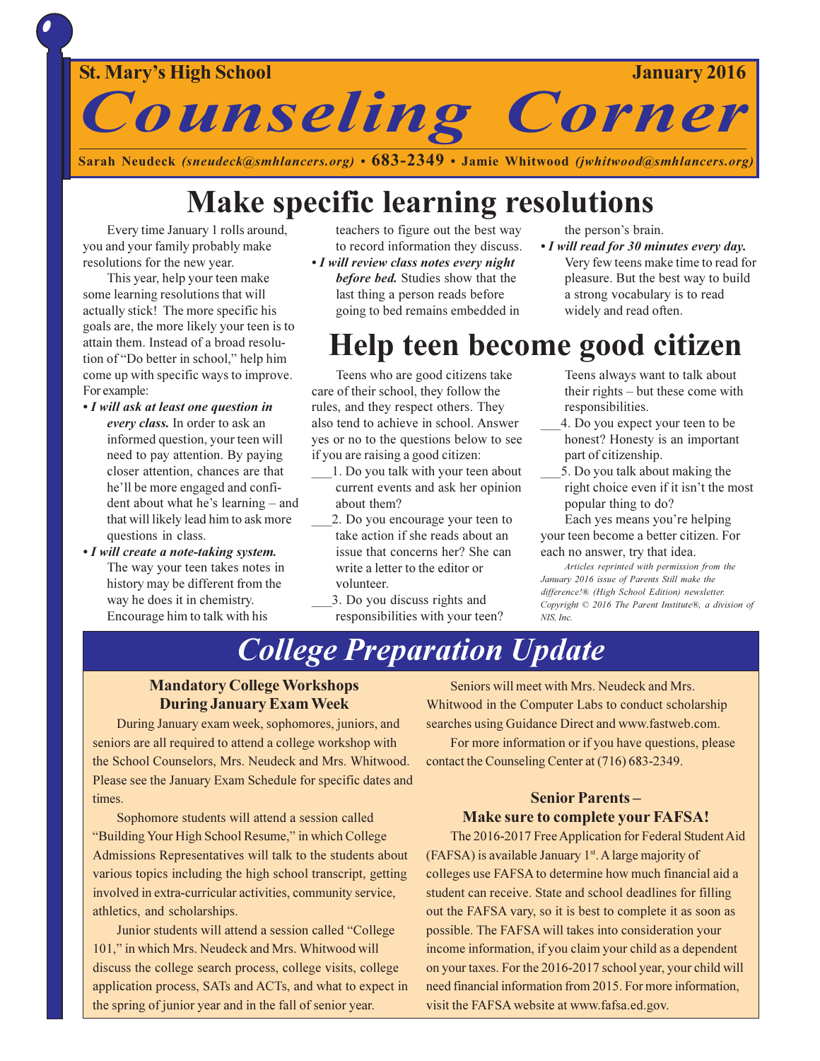

Sarah Neudeck (sneudeck@smhlancers.org) •  $683-2349$  • Jamie Whitwood (jwhitwood@smhlancers.org)

### **Make specific learning resolutions**

Every time January 1 rolls around, you and your family probably make resolutions for the new year.

This year, help your teen make some learning resolutions that will actually stick! The more specific his goals are, the more likely your teen is to attain them. Instead of a broad resolution of "Do better in school," help him come up with specific ways to improve. For example:

- I will ask at least one question in every class. In order to ask an informed question, your teen will need to pay attention. By paying closer attention, chances are that he'll be more engaged and confident about what he's learning – and that will likely lead him to ask more questions in class.
- I will create a note-taking system. The way your teen takes notes in history may be different from the way he does it in chemistry. Encourage him to talk with his

teachers to figure out the best way to record information they discuss.

• I will review class notes every night before bed. Studies show that the last thing a person reads before going to bed remains embedded in the person's brain.

• I will read for 30 minutes every day. Very few teens make time to read for pleasure. But the best way to build a strong vocabulary is to read widely and read often.

### Help teen become good citizen

Teens who are good citizens take care of their school, they follow the rules, and they respect others. They also tend to achieve in school. Answer yes or no to the questions below to see if you are raising a good citizen:

- 1. Do you talk with your teen about current events and ask her opinion about them?
- 2. Do you encourage your teen to take action if she reads about an issue that concerns her? She can write a letter to the editor or volunteer.
- 3. Do you discuss rights and responsibilities with your teen?

Teens always want to talk about their rights – but these come with responsibilities.

- 4. Do you expect your teen to be honest? Honesty is an important part of citizenship.
- 5. Do you talk about making the right choice even if it isn't the most popular thing to do?

Each yes means you're helping your teen become a better citizen. For each no answer, try that idea.

Articles reprinted with permission from the January 2016 issue of Parents Still make the difference!® (High School Edition) newsletter. Copyright © 2016 The Parent Institute®, a division of NIS Inc.

### **College Preparation Update**

#### **Mandatory College Workshops During January Exam Week**

During January exam week, sophomores, juniors, and seniors are all required to attend a college workshop with the School Counselors, Mrs. Neudeck and Mrs. Whitwood. Please see the January Exam Schedule for specific dates and times.

Sophomore students will attend a session called "Building Your High School Resume," in which College Admissions Representatives will talk to the students about various topics including the high school transcript, getting involved in extra-curricular activities, community service, athletics, and scholarships.

Junior students will attend a session called "College" 101," in which Mrs. Neudeck and Mrs. Whitwood will discuss the college search process, college visits, college application process, SATs and ACTs, and what to expect in the spring of junior year and in the fall of senior year.

Seniors will meet with Mrs. Neudeck and Mrs. Whitwood in the Computer Labs to conduct scholarship searches using Guidance Direct and www.fastweb.com.

For more information or if you have questions, please contact the Counseling Center at (716) 683-2349.

#### **Senior Parents-Make sure to complete your FAFSA!**

The 2016-2017 Free Application for Federal Student Aid (FAFSA) is available January 1st. A large majority of colleges use FAFSA to determine how much financial aid a student can receive. State and school deadlines for filling out the FAFSA vary, so it is best to complete it as soon as possible. The FAFSA will takes into consideration your income information, if you claim your child as a dependent on your taxes. For the 2016-2017 school year, your child will need financial information from 2015. For more information, visit the FAFSA website at www.fafsa.ed.gov.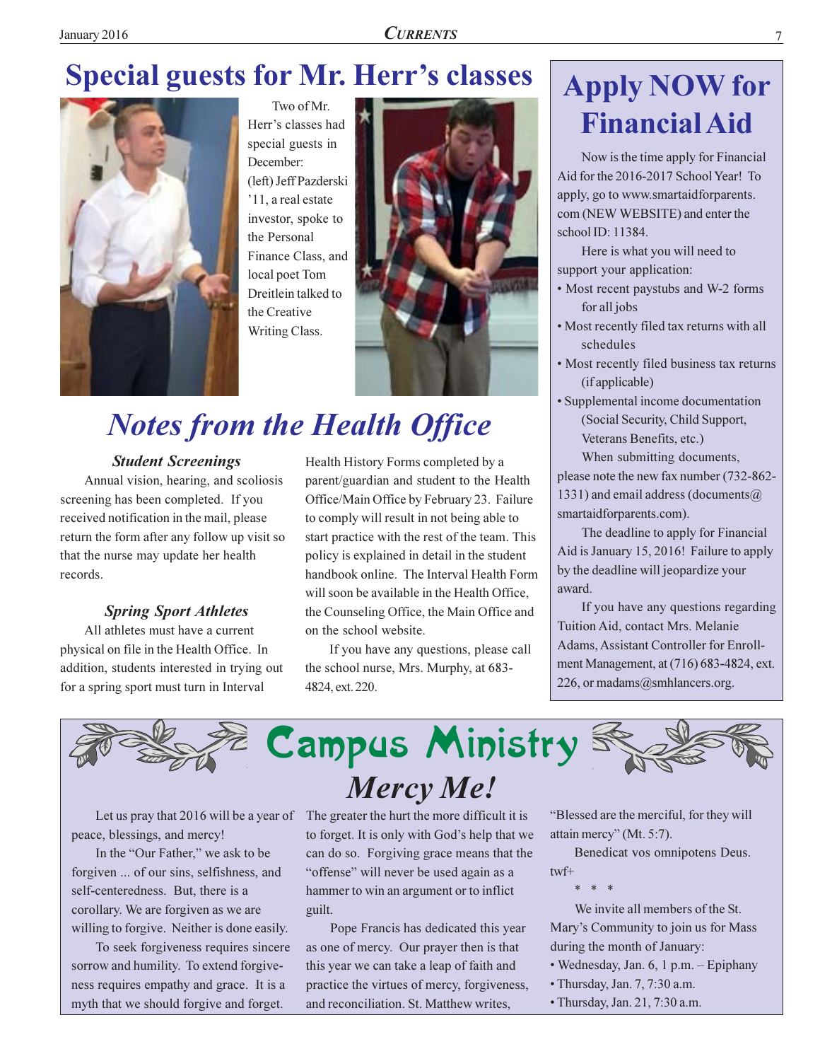## **Special guests for Mr. Herr's classes**



Two of Mr. Herr's classes had special guests in December: (left) Jeff Pazderski '11, a real estate investor, spoke to the Personal Finance Class, and local poet Tom Dreitlein talked to the Creative Writing Class.



# **Notes from the Health Office**

#### **Student Screenings**

Annual vision, hearing, and scoliosis screening has been completed. If you received notification in the mail, please return the form after any follow up visit so that the nurse may update her health records.

#### **Spring Sport Athletes**

All athletes must have a current physical on file in the Health Office. In addition, students interested in trying out for a spring sport must turn in Interval

Health History Forms completed by a parent/guardian and student to the Health Office/Main Office by February 23. Failure to comply will result in not being able to start practice with the rest of the team. This policy is explained in detail in the student handbook online. The Interval Health Form will soon be available in the Health Office, the Counseling Office, the Main Office and on the school website.

If you have any questions, please call the school nurse, Mrs. Murphy, at 683-4824, ext. 220.

# **Apply NOW for Financial Aid**

Now is the time apply for Financial Aid for the 2016-2017 School Year! To apply, go to www.smartaidforparents. com (NEW WEBSITE) and enter the school ID: 11384.

Here is what you will need to support your application:

- Most recent paystubs and W-2 forms for all jobs
- Most recently filed tax returns with all schedules
- Most recently filed business tax returns (if applicable)
- Supplemental income documentation (Social Security, Child Support, Veterans Benefits, etc.)

When submitting documents, please note the new fax number (732-862-1331) and email address (documents  $\omega$ smartaidforparents.com).

The deadline to apply for Financial Aid is January 15, 2016! Failure to apply by the deadline will jeopardize your award.

If you have any questions regarding Tuition Aid, contact Mrs. Melanie Adams, Assistant Controller for Enrollment Management, at (716) 683-4824, ext. 226, or madams@smhlancers.org.



peace, blessings, and mercy!

In the "Our Father," we ask to be forgiven ... of our sins, selfishness, and self-centeredness. But, there is a corollary. We are forgiven as we are willing to forgive. Neither is done easily.

To seek forgiveness requires sincere sorrow and humility. To extend forgiveness requires empathy and grace. It is a myth that we should forgive and forget.

Let us pray that 2016 will be a year of The greater the hurt the more difficult it is to forget. It is only with God's help that we can do so. Forgiving grace means that the "offense" will never be used again as a hammer to win an argument or to inflict guilt.

> Pope Francis has dedicated this year as one of mercy. Our prayer then is that this year we can take a leap of faith and practice the virtues of mercy, forgiveness, and reconciliation. St. Matthew writes,

"Blessed are the merciful, for they will attain mercy" (Mt. 5:7).

Benedicat vos omnipotens Deus. twf+

We invite all members of the St. Mary's Community to join us for Mass during the month of January:

- · Wednesday, Jan. 6, 1 p.m. Epiphany
- Thursday, Jan. 7, 7:30 a.m.
- · Thursday, Jan. 21, 7:30 a.m.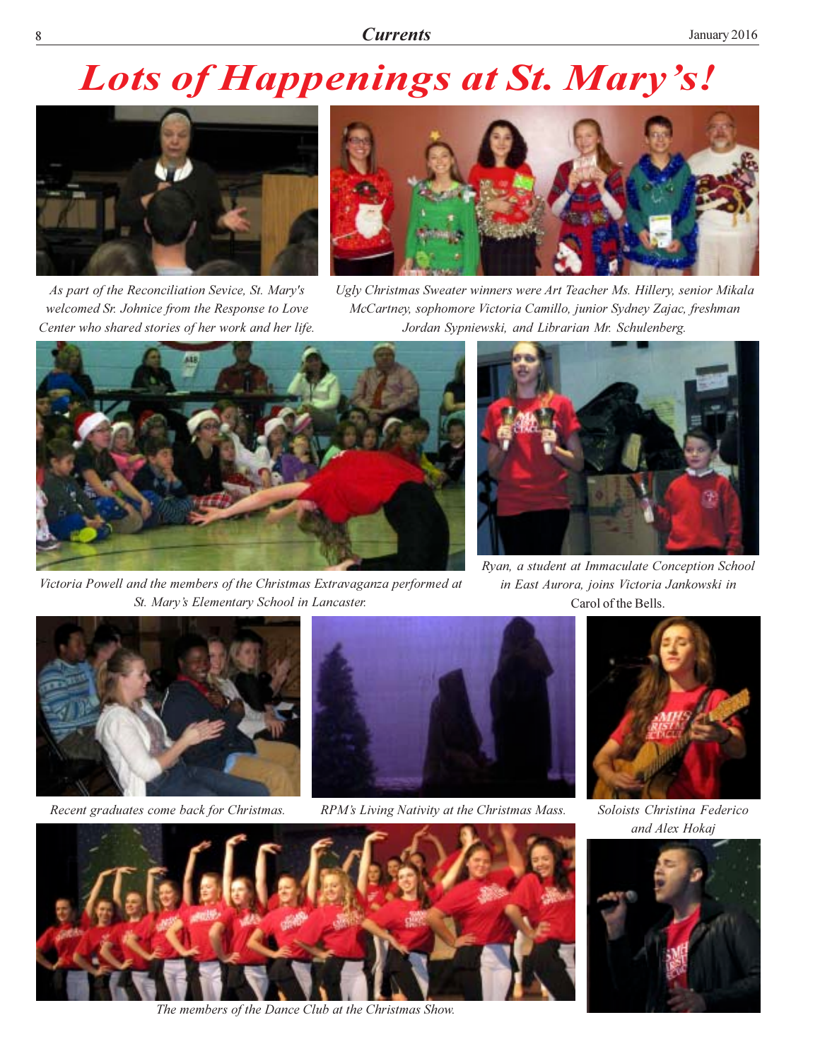# **Lots of Happenings at St. Mary's!**



As part of the Reconciliation Sevice, St. Mary's welcomed Sr. Johnice from the Response to Love Center who shared stories of her work and her life.



Ugly Christmas Sweater winners were Art Teacher Ms. Hillery, senior Mikala McCartney, sophomore Victoria Camillo, junior Sydney Zajac, freshman Jordan Sypniewski, and Librarian Mr. Schulenberg.



Victoria Powell and the members of the Christmas Extravaganza performed at St. Mary's Elementary School in Lancaster.



Ryan, a student at Immaculate Conception School in East Aurora, joins Victoria Jankowski in Carol of the Bells.



Recent graduates come back for Christmas.



RPM's Living Nativity at the Christmas Mass.



Soloists Christina Federico and Alex Hokaj





The members of the Dance Club at the Christmas Show.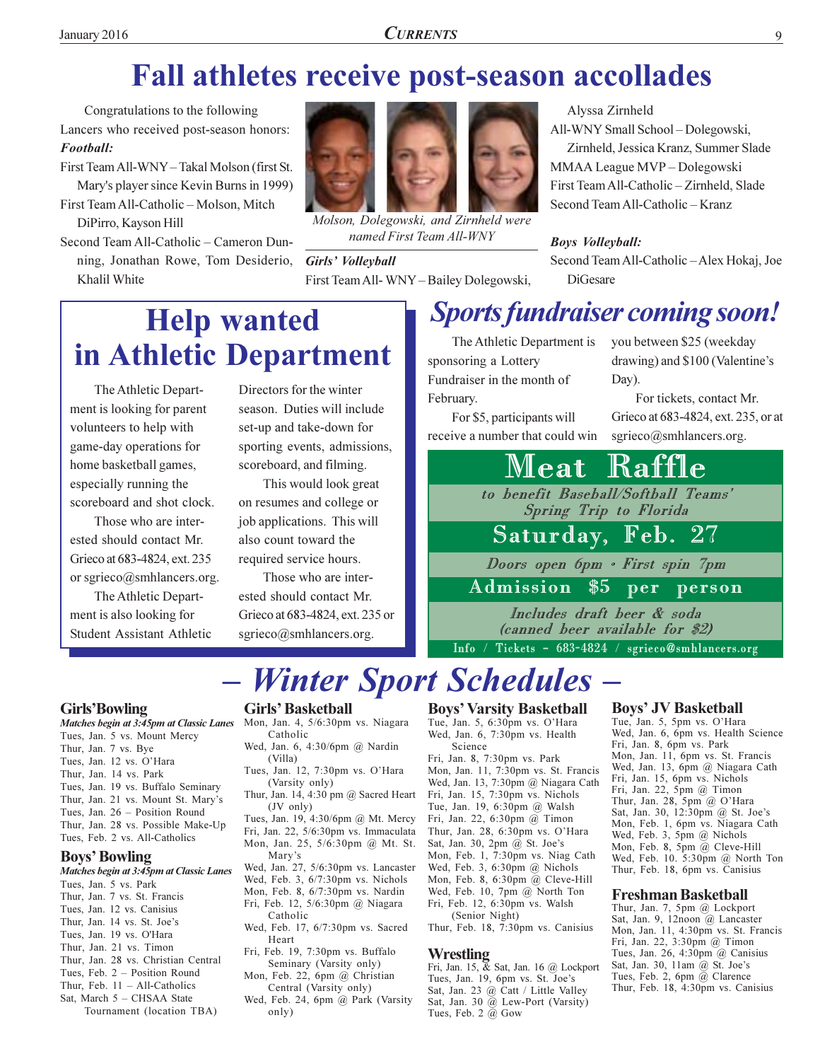### Fall athletes receive post-season accollades

Congratulations to the following Lancers who received post-season honors: Football:

- First Team All-WNY Takal Molson (first St. Mary's player since Kevin Burns in 1999)
- First Team All-Catholic Molson, Mitch DiPirro, Kayson Hill
- Second Team All-Catholic Cameron Dunning, Jonathan Rowe, Tom Desiderio, Khalil White



Molson, Dolegowski, and Zirnheld were named First Team All-WNY

Girls' Volleyball First Team All-WNY-Bailey Dolegowski,

All-WNY Small School - Dolegowski, Zirnheld, Jessica Kranz, Summer Slade MMAA League MVP - Dolegowski First Team All-Catholic - Zirnheld, Slade Second Team All-Catholic - Kranz

#### **Boys Volleyball:**

Second Team All-Catholic - Alex Hokaj, Joe **DiGesare** 

### **Help wanted** in Athletic Department

The Athletic Department is looking for parent volunteers to help with game-day operations for home basketball games, especially running the scoreboard and shot clock.

Those who are interested should contact Mr. Grieco at 683-4824, ext. 235 or sgrieco@smhlancers.org.

The Athletic Department is also looking for **Student Assistant Athletic**  Directors for the winter season. Duties will include set-up and take-down for sporting events, admissions, scoreboard, and filming.

This would look great on resumes and college or job applications. This will also count toward the required service hours.

Those who are interested should contact Mr. Grieco at 683-4824, ext. 235 or sgrieco@smhlancers.org.

### **Sports fundraiser coming soon!**

The Athletic Department is sponsoring a Lottery Fundraiser in the month of February.

For \$5, participants will receive a number that could win you between \$25 (weekday drawing) and \$100 (Valentine's Day).

For tickets, contact Mr. Grieco at 683-4824, ext. 235, or at sgrieco@smhlancers.org.

#### Raffle Mleat.

to benefit Baseball/Softball Teams' Spring Trip to Florida

#### Saturday, Feb.  $27$

Doors open 6pm · First spin 7pm

 $\overline{\$5}$ Admission  $per$ person

Includes draft beer & soda (canned beer available for \$2)

Info / Tickets - 683-4824 / sgrieco@smhlancers.org

# - Winter Sport Schedules -

#### **Girls'Bowling**

Matches begin at 3:45pm at Classic Lanes Mon, Jan. 4, 5/6:30pm vs. Niagara

- Tues, Jan. 5 vs. Mount Mercy
- Thur, Jan. 7 vs. Bye
- Tues, Jan. 12 vs. O'Hara
- Thur, Jan. 14 vs. Park
- Tues, Jan. 19 vs. Buffalo Seminary
- Thur, Jan. 21 vs. Mount St. Mary's
- Tues, Jan. 26 Position Round
- Thur, Jan. 28 vs. Possible Make-Up Tues, Feb. 2 vs. All-Catholics

#### **Boys' Bowling**

- Matches begin at 3:45pm at Classic Lanes
- Tues, Jan. 5 vs. Park
- Thur, Jan. 7 vs. St. Francis Tues, Jan. 12 vs. Canisius
- Thur, Jan. 14 vs. St. Joe's
- Tues, Jan. 19 vs. O'Hara
- Thur, Jan. 21 vs. Timon
- Thur, Jan. 28 vs. Christian Central
- Tues, Feb. 2 Position Round
- Thur, Feb.  $11 All-Catholics$
- Sat. March 5 CHSAA State
	- Tournament (location TBA)

#### **Girls' Basketball**

- Catholic
- Wed, Jan. 6, 4:30/6pm @ Nardin (Villa) Tues, Jan. 12, 7:30pm vs. O'Hara
- (Varsity only)
- Thur, Jan. 14, 4:30 pm @ Sacred Heart  $(JV \text{ only})$
- Tues, Jan. 19, 4:30/6pm @ Mt. Mercy Fri, Jan. 22, 5/6:30pm vs. Immaculata
- Mon, Jan. 25, 5/6:30pm @ Mt. St. Mary's
- Wed, Jan. 27, 5/6:30pm vs. Lancaster
- Wed, Feb. 3, 6/7:30pm vs. Nichols
- Mon, Feb. 8, 6/7:30pm vs. Nardin Fri, Feb. 12, 5/6:30pm @ Niagara
- Catholic Wed, Feb. 17, 6/7:30pm vs. Sacred
- Heart Fri, Feb. 19, 7:30pm vs. Buffalo
- Seminary (Varsity only) Mon, Feb. 22, 6pm @ Christian
- Central (Varsity only) Wed, Feb. 24, 6pm @ Park (Varsity
- only)

#### **Boys' Varsity Basketball**

Tue, Jan. 5, 6:30pm vs. O'Hara Wed, Jan. 6, 7:30pm vs. Health Science

Fri, Jan. 8, 7:30pm vs. Park Mon, Jan. 11, 7:30pm vs. St. Francis Wed, Jan. 13, 7:30pm @ Niagara Cath Fri, Jan. 15, 7:30pm vs. Nichols Tue, Jan. 19, 6:30pm @ Walsh Fri, Jan. 22, 6:30pm @ Timon Thur, Jan. 28, 6:30pm vs. O'Hara Sat, Jan. 30, 2pm @ St. Joe's Mon, Feb. 1, 7:30pm vs. Niag Cath Wed, Feb. 3, 6:30pm @ Nichols Mon, Feb. 8, 6:30pm  $@$  Cleve-Hill Wed, Feb. 10, 7pm @ North Ton Fri, Feb. 12, 6:30pm vs. Walsh (Senior Night)

Thur, Feb. 18, 7:30pm vs. Canisius

#### **Wrestling**

Fri, Jan. 15, & Sat, Jan. 16 @ Lockport Tues, Jan. 19, 6pm vs. St. Joe's Sat, Jan. 23 @ Catt / Little Valley Sat, Jan. 30 @ Lew-Port (Varsity) Tues, Feb. 2 @ Gow

#### **Boys' JV Basketball**

Tue, Jan. 5, 5pm vs. O'Hara Wed, Jan. 6, 6pm vs. Health Science Fri, Jan. 8, 6pm vs. Park Mon, Jan. 11, 6pm vs. St. Francis Wed, Jan. 13, 6pm @ Niagara Cath Fri, Jan. 15, 6pm vs. Nichols Fri, Jan. 22,  $5 \text{pm}$  @ Timon Thur, Jan. 28, 5pm @ O'Hara Sat, Jan. 30, 12:30pm @ St. Joe's Mon, Feb. 1, 6pm vs. Niagara Cath Wed, Feb. 3, 5pm @ Nichols Mon, Feb. 8, 5pm @ Cleve-Hill Wed, Feb. 10. 5:30pm @ North Ton Thur, Feb. 18, 6pm vs. Canisius

#### **Freshman Basketball**

Thur, Jan. 7, 5pm @ Lockport Sat, Jan. 9, 12noon @ Lancaster Mon, Jan. 11, 4:30pm vs. St. Francis Fri, Jan. 22, 3:30pm @ Timon Tues, Jan. 26, 4:30pm  $@$  Canisius Sat, Jan. 30, 11am @ St. Joe's Tues, Feb. 2, 6pm  $\dddot{a}$  Clarence Thur, Feb. 18, 4:30pm vs. Canisius

### Alyssa Zirnheld

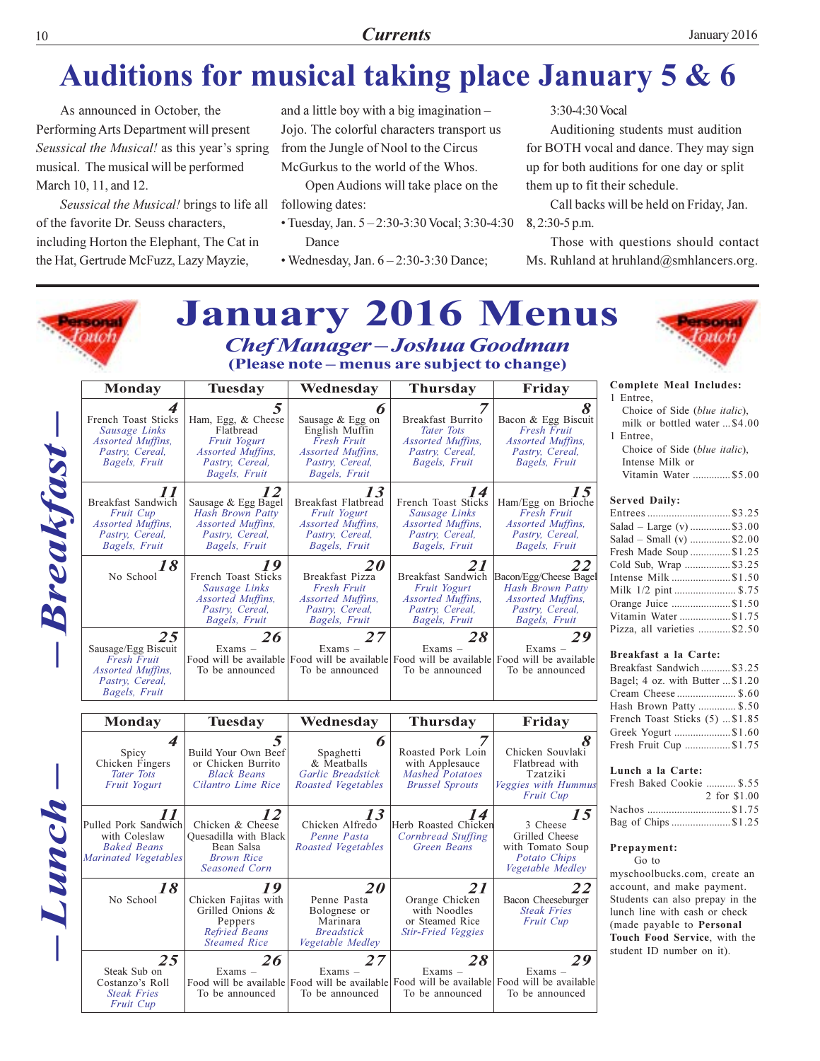#### **Currents**

### **Auditions for musical taking place January 5 & 6**

As announced in October, the Performing Arts Department will present Seussical the Musical! as this year's spring musical. The musical will be performed March 10, 11, and 12.

Seussical the Musical! brings to life all of the favorite Dr. Seuss characters, including Horton the Elephant, The Cat in the Hat, Gertrude McFuzz, Lazy Mayzie,

and a little boy with a big imagination -Jojo. The colorful characters transport us from the Jungle of Nool to the Circus McGurkus to the world of the Whos.

Open Audions will take place on the following dates:

- Tuesday, Jan.  $5 2:30 3:30$  Vocal;  $3:30 4:30$ Dance
- Wednesday, Jan.  $6-2:30-3:30$  Dance;

3:30-4:30 Vocal

Auditioning students must audition for BOTH vocal and dance. They may sign up for both auditions for one day or split them up to fit their schedule.

Call backs will be held on Friday, Jan. 8, 2:30-5 p.m.

Those with questions should contact Ms. Ruhland at hruhland@smhlancers.org.

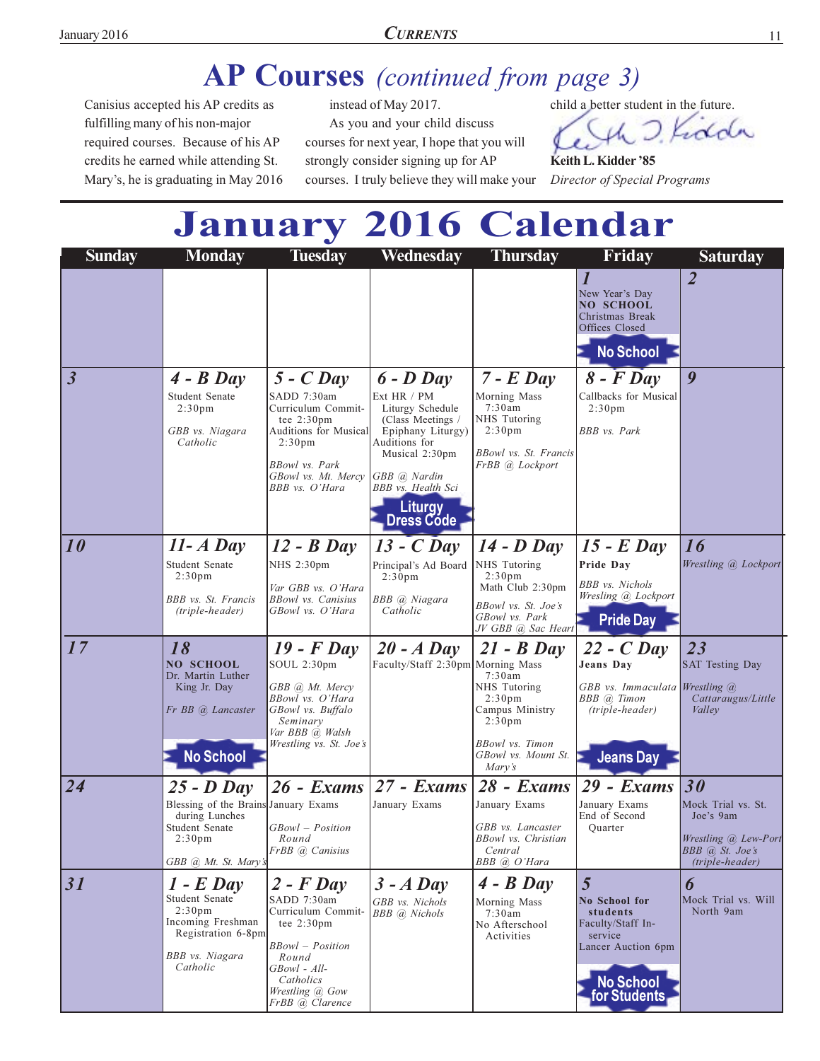### AP Courses (continued from page 3)

Canisius accepted his AP credits as fulfilling many of his non-major required courses. Because of his AP credits he earned while attending St. Mary's, he is graduating in May 2016

instead of May 2017. As you and your child discuss courses for next year, I hope that you will strongly consider signing up for AP courses. I truly believe they will make your child a better student in the future.

Kidda

Keith L. Kidder '85 Director of Special Programs

# **January 2016 Calendar**

| <b>Sunday</b>           | <b>Monday</b>                                                                                                                        | <b>Tuesday</b>                                                                                                                                                                     | Wednesday                                                                                                                                                                                           | <b>Thursday</b>                                                                                                                                      | Friday                                                                                                                   | <b>Saturday</b>                                                                               |
|-------------------------|--------------------------------------------------------------------------------------------------------------------------------------|------------------------------------------------------------------------------------------------------------------------------------------------------------------------------------|-----------------------------------------------------------------------------------------------------------------------------------------------------------------------------------------------------|------------------------------------------------------------------------------------------------------------------------------------------------------|--------------------------------------------------------------------------------------------------------------------------|-----------------------------------------------------------------------------------------------|
|                         |                                                                                                                                      |                                                                                                                                                                                    |                                                                                                                                                                                                     |                                                                                                                                                      | 1<br>New Year's Day<br><b>NO SCHOOL</b><br>Christmas Break<br>Offices Closed<br><b>No School</b>                         | $\overline{2}$                                                                                |
| $\overline{\mathbf{3}}$ | $4 - B$ Day<br>Student Senate<br>2:30 <sub>pm</sub><br>GBB vs. Niagara<br>Catholic                                                   | $5 - C$ Day<br>SADD 7:30am<br>Curriculum Commit-<br>tee $2:30 \text{pm}$<br>Auditions for Musical<br>2:30 <sub>pm</sub><br>BBowl vs. Park<br>GBowl vs. Mt. Mercy<br>BBB vs. O'Hara | $6$ - $D$ Day<br>Ext HR / PM<br>Liturgy Schedule<br>(Class Meetings /<br>Epiphany Liturgy)<br>Auditions for<br>Musical 2:30pm<br>GBB @ Nardin<br>BBB vs. Health Sci<br><b>Liturgy</b><br>Dress Code | $7$ - $E$ Day<br>Morning Mass<br>7:30am<br>NHS Tutoring<br>2:30 <sub>pm</sub><br>BBowl vs. St. Francis<br>FrBB @ Lockport                            | $8$ - $F$ Day<br>Callbacks for Musical<br>2:30 <sub>pm</sub><br><b>BBB</b> vs. Park                                      | 9                                                                                             |
| 10                      | $11 - A$ Day                                                                                                                         | $12 - B$ Day                                                                                                                                                                       | $13 - C$ Day                                                                                                                                                                                        | $14$ - D Day                                                                                                                                         | $15$ - $E$ Day                                                                                                           | 16                                                                                            |
|                         | Student Senate                                                                                                                       | NHS 2:30pm                                                                                                                                                                         | Principal's Ad Board                                                                                                                                                                                | NHS Tutoring                                                                                                                                         | Pride Day                                                                                                                | Wrestling @ Lockport                                                                          |
|                         | 2:30 <sub>pm</sub>                                                                                                                   | Var GBB vs. O'Hara                                                                                                                                                                 | 2:30 <sub>pm</sub>                                                                                                                                                                                  | 2:30 <sub>pm</sub><br>Math Club 2:30pm                                                                                                               | <b>BBB</b> vs. Nichols                                                                                                   |                                                                                               |
|                         | BBB vs. St. Francis<br>(triple-header)                                                                                               | <b>BBowl</b> vs. Canisius<br>GBowl vs. O'Hara                                                                                                                                      | BBB @ Niagara<br>Catholic                                                                                                                                                                           | BBowl vs. St. Joe's<br>GBowl vs. Park<br>JV GBB @ Sac Heart                                                                                          | Wresling @ Lockport<br><b>Pride Day</b>                                                                                  |                                                                                               |
| 17                      | 18<br><b>NO SCHOOL</b><br>Dr. Martin Luther<br>King Jr. Day<br>Fr BB @ Lancaster                                                     | $19$ - $F$ Day<br>SOUL 2:30pm<br>GBB (a) Mt. Mercy<br>BBowl vs. O'Hara<br>GBowl vs. Buffalo<br>Seminary<br>Var BBB @ Walsh<br>Wrestling vs. St. Joe's                              | $20 - A$ Day<br>Faculty/Staff 2:30pm Morning Mass                                                                                                                                                   | $21 - B$ Day<br>7:30am<br>NHS Tutoring<br>$2:30 \text{pm}$<br>Campus Ministry<br>2:30 <sub>pm</sub><br><b>BBowl</b> vs. Timon<br>GBowl vs. Mount St. | $22 - C$ Day<br>Jeans Day<br>GBB vs. Immaculata Wrestling @<br>BBB @ Timon<br>(triple-header)                            | 23<br><b>SAT Testing Day</b><br>Cattaraugus/Little<br>Valley                                  |
|                         | <b>No School</b>                                                                                                                     |                                                                                                                                                                                    |                                                                                                                                                                                                     | Mary's                                                                                                                                               | <b>Jeans Day</b>                                                                                                         |                                                                                               |
| 24                      | $25 - D$ Day                                                                                                                         | $26$ - Exams                                                                                                                                                                       | $27 - Exams$                                                                                                                                                                                        | $28$ - Exams                                                                                                                                         | 29 - Exams                                                                                                               | 30                                                                                            |
|                         | Blessing of the Brains January Exams<br>during Lunches<br>Student Senate<br>2:30 <sub>pm</sub><br>GBB @, Mt. St. Mary's              | GBowl – Position<br>Round<br>FrBB @ Canisius                                                                                                                                       | January Exams                                                                                                                                                                                       | January Exams<br>GBB vs. Lancaster<br>BBowl vs. Christian<br>Central<br>BBB @ O'Hara                                                                 | January Exams<br>End of Second<br>Quarter                                                                                | Mock Trial vs. St.<br>Joe's 9am<br>Wrestling @ Lew-Port<br>BBB @ St. Joe's<br>(triple-header) |
| 31                      | $1 - E$ Day<br>Student Senate<br>2:30 <sub>pm</sub><br>Incoming Freshman<br>Registration 6-8pm<br><b>BBB</b> vs. Niagara<br>Catholic | $2$ - F Day<br>SADD 7:30am<br>Curriculum Commit-<br>tee $2:30 \text{pm}$<br><b>BBowl</b> - Position<br>Round<br>GBowl - All-<br>Catholics<br>Wrestling @ Gow<br>FrBB @ Clarence    | $3 - A$ Day<br>GBB vs. Nichols<br>BBB @ Nichols                                                                                                                                                     | $4 - B$ Day<br>Morning Mass<br>7:30am<br>No Afterschool<br>Activities                                                                                | 5<br>No School for<br>students<br>Faculty/Staff In-<br>service<br>Lancer Auction 6pm<br><b>No School</b><br>for Students | 6<br>Mock Trial vs. Will<br>North 9am                                                         |